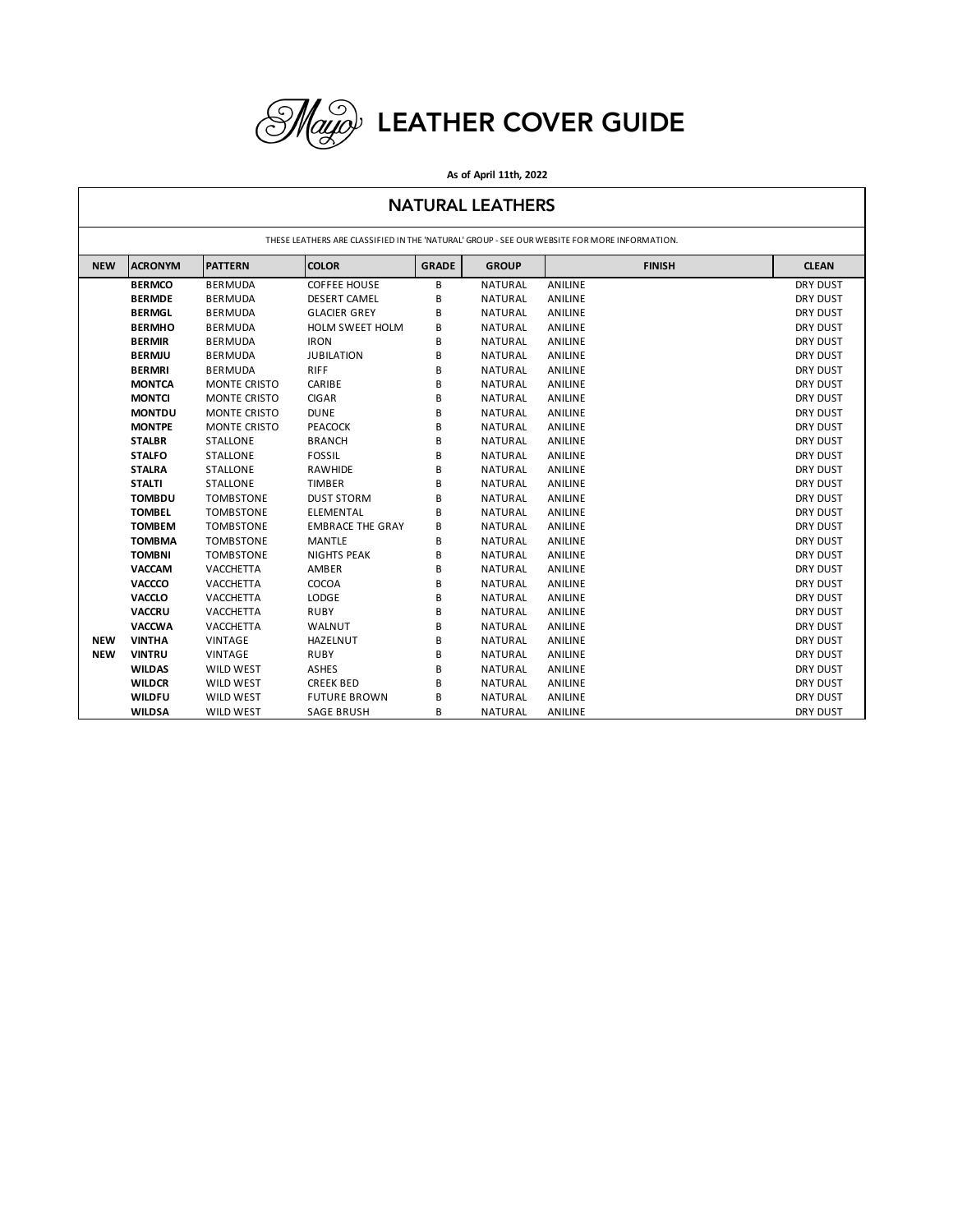

## **As of April 11th, 2022**

## NATURAL LEATHERS

| THESE LEATHERS ARE CLASSIFIED IN THE 'NATURAL' GROUP - SEE OUR WEBSITE FOR MORE INFORMATION. |                |                  |                         |              |                |               |              |  |  |  |  |
|----------------------------------------------------------------------------------------------|----------------|------------------|-------------------------|--------------|----------------|---------------|--------------|--|--|--|--|
| <b>NEW</b>                                                                                   | <b>ACRONYM</b> | <b>PATTERN</b>   | <b>COLOR</b>            | <b>GRADE</b> | <b>GROUP</b>   | <b>FINISH</b> | <b>CLEAN</b> |  |  |  |  |
|                                                                                              | <b>BERMCO</b>  | <b>BERMUDA</b>   | <b>COFFEE HOUSE</b>     | B            | <b>NATURAL</b> | ANILINE       | DRY DUST     |  |  |  |  |
|                                                                                              | <b>BERMDE</b>  | <b>BERMUDA</b>   | <b>DESERT CAMEL</b>     | B            | <b>NATURAL</b> | ANILINE       | DRY DUST     |  |  |  |  |
|                                                                                              | <b>BERMGL</b>  | <b>BERMUDA</b>   | <b>GLACIER GREY</b>     | В            | NATURAL        | ANILINE       | DRY DUST     |  |  |  |  |
|                                                                                              | <b>BERMHO</b>  | <b>BERMUDA</b>   | <b>HOLM SWEET HOLM</b>  | В            | NATURAL        | ANILINE       | DRY DUST     |  |  |  |  |
|                                                                                              | <b>BERMIR</b>  | <b>BERMUDA</b>   | <b>IRON</b>             | B            | <b>NATURAL</b> | ANILINE       | DRY DUST     |  |  |  |  |
|                                                                                              | <b>BERMJU</b>  | <b>BERMUDA</b>   | <b>JUBILATION</b>       | B            | <b>NATURAL</b> | ANILINE       | DRY DUST     |  |  |  |  |
|                                                                                              | <b>BERMRI</b>  | <b>BERMUDA</b>   | <b>RIFF</b>             | B            | <b>NATURAL</b> | ANILINE       | DRY DUST     |  |  |  |  |
|                                                                                              | <b>MONTCA</b>  | MONTE CRISTO     | CARIBE                  | B            | NATURAL        | ANILINE       | DRY DUST     |  |  |  |  |
|                                                                                              | <b>MONTCI</b>  | MONTE CRISTO     | <b>CIGAR</b>            | B            | NATURAL        | ANILINE       | DRY DUST     |  |  |  |  |
|                                                                                              | <b>MONTDU</b>  | MONTE CRISTO     | <b>DUNE</b>             | В            | NATURAL        | ANILINE       | DRY DUST     |  |  |  |  |
|                                                                                              | <b>MONTPE</b>  | MONTE CRISTO     | <b>PEACOCK</b>          | B            | <b>NATURAL</b> | ANILINE       | DRY DUST     |  |  |  |  |
|                                                                                              | <b>STALBR</b>  | <b>STALLONE</b>  | <b>BRANCH</b>           | B            | <b>NATURAL</b> | ANILINE       | DRY DUST     |  |  |  |  |
|                                                                                              | <b>STALFO</b>  | STALLONE         | <b>FOSSIL</b>           | В            | NATURAL        | ANILINE       | DRY DUST     |  |  |  |  |
|                                                                                              | <b>STALRA</b>  | STALLONE         | RAWHIDE                 | B            | NATURAL        | ANILINE       | DRY DUST     |  |  |  |  |
|                                                                                              | <b>STALTI</b>  | <b>STALLONE</b>  | <b>TIMBER</b>           | B            | <b>NATURAL</b> | ANILINE       | DRY DUST     |  |  |  |  |
|                                                                                              | <b>TOMBDU</b>  | <b>TOMBSTONE</b> | <b>DUST STORM</b>       | B            | NATURAL        | ANILINE       | DRY DUST     |  |  |  |  |
|                                                                                              | <b>TOMBEL</b>  | <b>TOMBSTONE</b> | ELEMENTAL               | B            | <b>NATURAL</b> | ANILINE       | DRY DUST     |  |  |  |  |
|                                                                                              | <b>TOMBEM</b>  | <b>TOMBSTONE</b> | <b>EMBRACE THE GRAY</b> | В            | NATURAL        | ANILINE       | DRY DUST     |  |  |  |  |
|                                                                                              | <b>TOMBMA</b>  | <b>TOMBSTONE</b> | <b>MANTLE</b>           | B            | <b>NATURAL</b> | ANILINE       | DRY DUST     |  |  |  |  |
|                                                                                              | <b>TOMBNI</b>  | <b>TOMBSTONE</b> | <b>NIGHTS PEAK</b>      | B            | NATURAL        | ANILINE       | DRY DUST     |  |  |  |  |
|                                                                                              | <b>VACCAM</b>  | VACCHETTA        | AMBER                   | B            | <b>NATURAL</b> | ANILINE       | DRY DUST     |  |  |  |  |
|                                                                                              | VACCCO         | <b>VACCHETTA</b> | COCOA                   | B            | <b>NATURAL</b> | ANILINE       | DRY DUST     |  |  |  |  |
|                                                                                              | <b>VACCLO</b>  | <b>VACCHETTA</b> | LODGE                   | B            | <b>NATURAL</b> | ANILINE       | DRY DUST     |  |  |  |  |
|                                                                                              | <b>VACCRU</b>  | <b>VACCHETTA</b> | <b>RUBY</b>             | В            | <b>NATURAL</b> | ANILINE       | DRY DUST     |  |  |  |  |
|                                                                                              | <b>VACCWA</b>  | VACCHETTA        | WALNUT                  | B            | <b>NATURAL</b> | ANILINE       | DRY DUST     |  |  |  |  |
| <b>NEW</b>                                                                                   | <b>VINTHA</b>  | <b>VINTAGE</b>   | HAZELNUT                | B            | <b>NATURAL</b> | ANILINE       | DRY DUST     |  |  |  |  |
| <b>NEW</b>                                                                                   | <b>VINTRU</b>  | <b>VINTAGE</b>   | <b>RUBY</b>             | B            | <b>NATURAL</b> | ANILINE       | DRY DUST     |  |  |  |  |
|                                                                                              | <b>WILDAS</b>  | <b>WILD WEST</b> | <b>ASHES</b>            | B            | <b>NATURAL</b> | ANILINE       | DRY DUST     |  |  |  |  |
|                                                                                              | <b>WILDCR</b>  | <b>WILD WEST</b> | <b>CREEK BED</b>        | B            | <b>NATURAL</b> | ANILINE       | DRY DUST     |  |  |  |  |
|                                                                                              | <b>WILDFU</b>  | <b>WILD WEST</b> | <b>FUTURE BROWN</b>     | B            | NATURAL        | ANILINE       | DRY DUST     |  |  |  |  |
|                                                                                              | <b>WILDSA</b>  | <b>WILD WEST</b> | <b>SAGE BRUSH</b>       | B            | NATURAL        | ANILINE       | DRY DUST     |  |  |  |  |